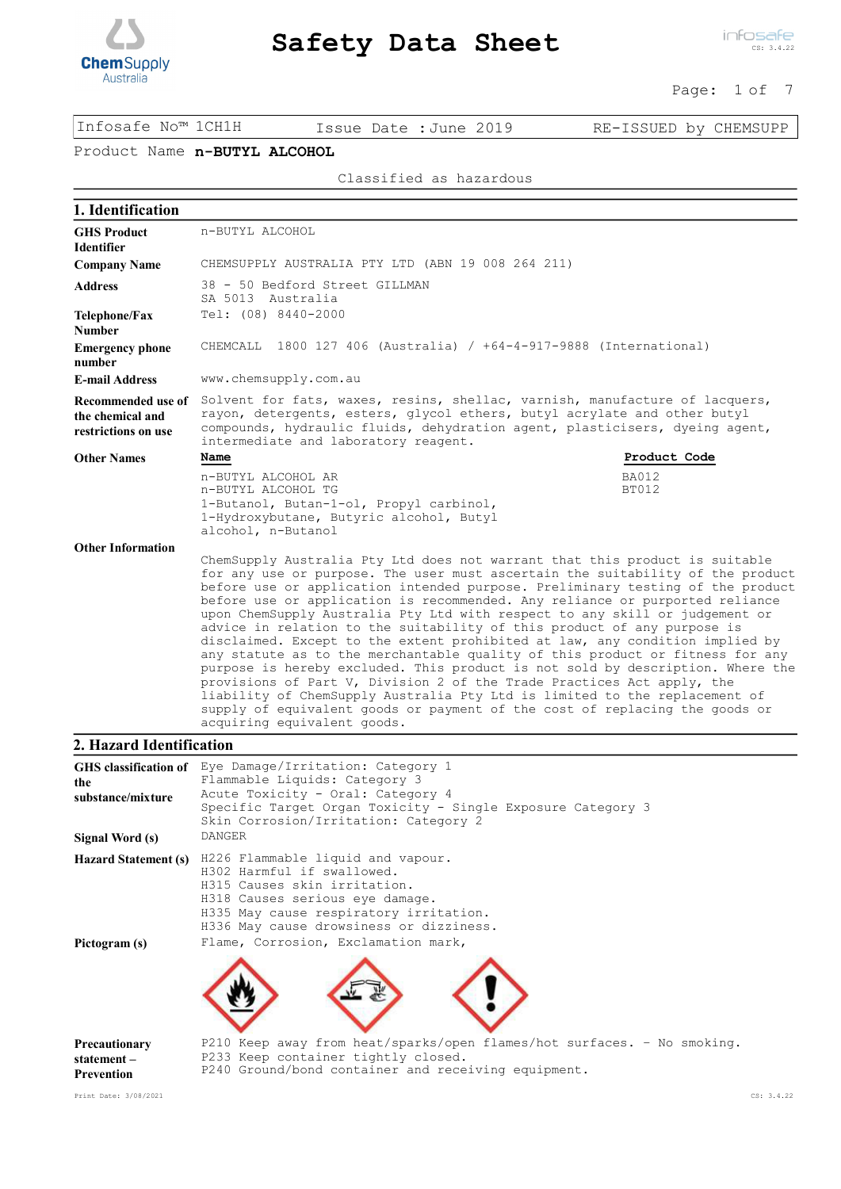

infosafe CS: 3.4.22

Page: 1 of 7

Infosafe No™ 1CH1H Issue Date :June 2019 RE-ISSUED by CHEMSUPP

# Product Name **n-BUTYL ALCOHOL**

Classified as hazardous

| 1. Identification                                             |                                                                                                                                                                                                                                                                                                                                                                                                                                                                                                                                                                                                                                                                                                                                                                                                                                                                                                                                                                                     |                       |
|---------------------------------------------------------------|-------------------------------------------------------------------------------------------------------------------------------------------------------------------------------------------------------------------------------------------------------------------------------------------------------------------------------------------------------------------------------------------------------------------------------------------------------------------------------------------------------------------------------------------------------------------------------------------------------------------------------------------------------------------------------------------------------------------------------------------------------------------------------------------------------------------------------------------------------------------------------------------------------------------------------------------------------------------------------------|-----------------------|
| <b>GHS Product</b><br><b>Identifier</b>                       | n-BUTYL ALCOHOL                                                                                                                                                                                                                                                                                                                                                                                                                                                                                                                                                                                                                                                                                                                                                                                                                                                                                                                                                                     |                       |
| <b>Company Name</b>                                           | CHEMSUPPLY AUSTRALIA PTY LTD (ABN 19 008 264 211)                                                                                                                                                                                                                                                                                                                                                                                                                                                                                                                                                                                                                                                                                                                                                                                                                                                                                                                                   |                       |
| <b>Address</b>                                                | 38 - 50 Bedford Street GILLMAN<br>SA 5013 Australia                                                                                                                                                                                                                                                                                                                                                                                                                                                                                                                                                                                                                                                                                                                                                                                                                                                                                                                                 |                       |
| Telephone/Fax<br><b>Number</b>                                | Tel: (08) 8440-2000                                                                                                                                                                                                                                                                                                                                                                                                                                                                                                                                                                                                                                                                                                                                                                                                                                                                                                                                                                 |                       |
| <b>Emergency phone</b><br>number                              | CHEMCALL 1800 127 406 (Australia) / +64-4-917-9888 (International)                                                                                                                                                                                                                                                                                                                                                                                                                                                                                                                                                                                                                                                                                                                                                                                                                                                                                                                  |                       |
| <b>E-mail Address</b>                                         | www.chemsupply.com.au                                                                                                                                                                                                                                                                                                                                                                                                                                                                                                                                                                                                                                                                                                                                                                                                                                                                                                                                                               |                       |
| Recommended use of<br>the chemical and<br>restrictions on use | Solvent for fats, waxes, resins, shellac, varnish, manufacture of lacquers,<br>rayon, detergents, esters, glycol ethers, butyl acrylate and other butyl<br>compounds, hydraulic fluids, dehydration agent, plasticisers, dyeing agent,<br>intermediate and laboratory reagent.                                                                                                                                                                                                                                                                                                                                                                                                                                                                                                                                                                                                                                                                                                      |                       |
| <b>Other Names</b>                                            | Name                                                                                                                                                                                                                                                                                                                                                                                                                                                                                                                                                                                                                                                                                                                                                                                                                                                                                                                                                                                | Product Code          |
|                                                               | n-BUTYL ALCOHOL AR<br>n-BUTYL ALCOHOL TG<br>1-Butanol, Butan-1-ol, Propyl carbinol,<br>1-Hydroxybutane, Butyric alcohol, Butyl<br>alcohol, n-Butanol                                                                                                                                                                                                                                                                                                                                                                                                                                                                                                                                                                                                                                                                                                                                                                                                                                | <b>BA012</b><br>BT012 |
| <b>Other Information</b>                                      |                                                                                                                                                                                                                                                                                                                                                                                                                                                                                                                                                                                                                                                                                                                                                                                                                                                                                                                                                                                     |                       |
|                                                               | ChemSupply Australia Pty Ltd does not warrant that this product is suitable<br>for any use or purpose. The user must ascertain the suitability of the product<br>before use or application intended purpose. Preliminary testing of the product<br>before use or application is recommended. Any reliance or purported reliance<br>upon ChemSupply Australia Pty Ltd with respect to any skill or judgement or<br>advice in relation to the suitability of this product of any purpose is<br>disclaimed. Except to the extent prohibited at law, any condition implied by<br>any statute as to the merchantable quality of this product or fitness for any<br>purpose is hereby excluded. This product is not sold by description. Where the<br>provisions of Part V, Division 2 of the Trade Practices Act apply, the<br>liability of ChemSupply Australia Pty Ltd is limited to the replacement of<br>supply of equivalent goods or payment of the cost of replacing the goods or |                       |

# **2. Hazard Identification**

| the<br>substance/mixture                  | GHS classification of Eye Damage/Irritation: Category 1<br>Flammable Liquids: Category 3<br>Acute Toxicity - Oral: Category 4<br>Specific Target Organ Toxicity - Single Exposure Category 3<br>Skin Corrosion/Irritation: Category 2 |
|-------------------------------------------|---------------------------------------------------------------------------------------------------------------------------------------------------------------------------------------------------------------------------------------|
| Signal Word (s)                           | <b>DANGER</b>                                                                                                                                                                                                                         |
| <b>Hazard Statement (s)</b>               | H226 Flammable liquid and vapour.<br>H302 Harmful if swallowed.<br>H315 Causes skin irritation.<br>H318 Causes serious eye damage.<br>H335 May cause respiratory irritation.<br>H336 May cause drowsiness or dizziness.               |
| Pictogram (s)                             | Flame, Corrosion, Exclamation mark,                                                                                                                                                                                                   |
| Precautionary<br>statement-<br>Prevention | P210 Keep away from heat/sparks/open flames/hot surfaces. - No smoking.<br>P233 Keep container tightly closed.<br>P240 Ground/bond container and receiving equipment.                                                                 |

acquiring equivalent goods.

Print Date: 3/08/2021 CS: 3.4.22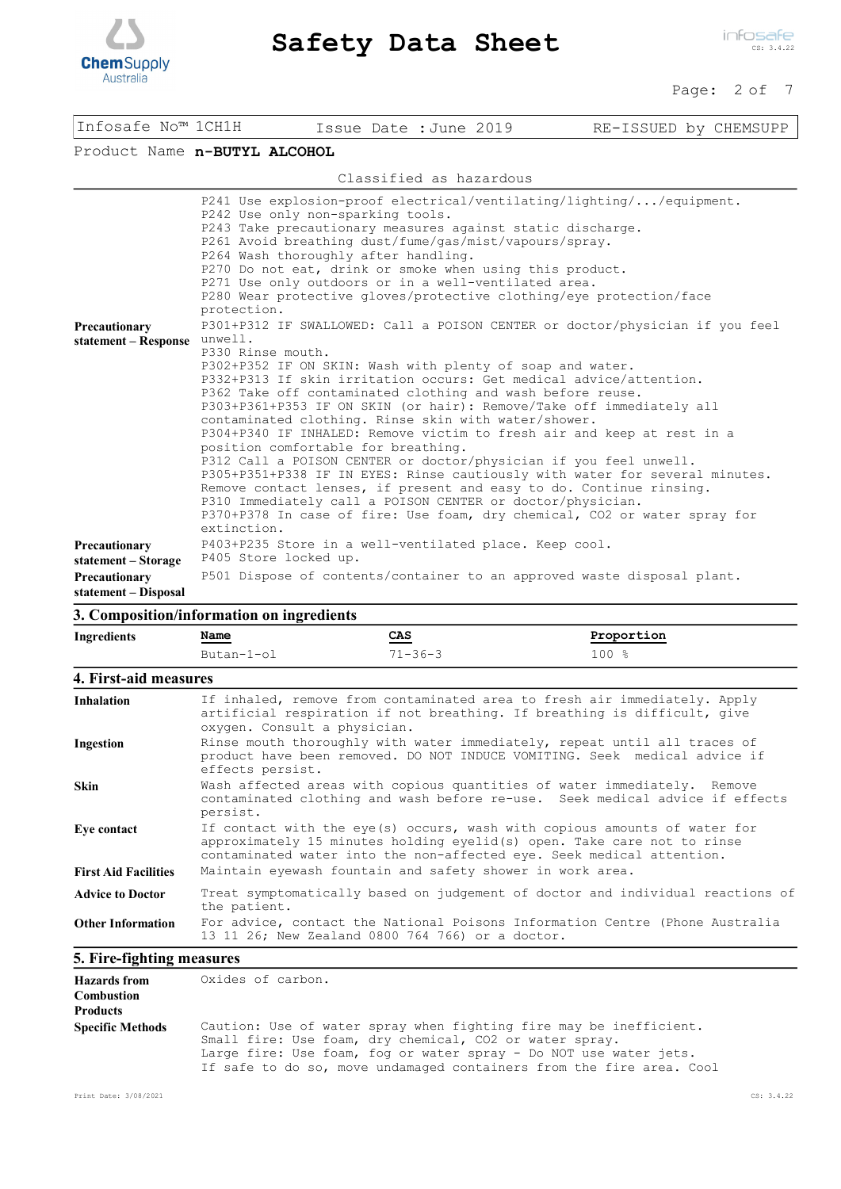

 $\overline{\phantom{a}}$ 

| Infosafe No™ 1CH1H                    |                                                                         |                                                                                                                  |  | Issue Date : June 2019  | RE-ISSUED by CHEMSUPP                                                                                                                                                                                                                                                                                                                                                                                                                                                                                                                                                                                                                                                                                                                                                                                                                                                                                                                                                                                                                                                                                                                                                                                                                                    |
|---------------------------------------|-------------------------------------------------------------------------|------------------------------------------------------------------------------------------------------------------|--|-------------------------|----------------------------------------------------------------------------------------------------------------------------------------------------------------------------------------------------------------------------------------------------------------------------------------------------------------------------------------------------------------------------------------------------------------------------------------------------------------------------------------------------------------------------------------------------------------------------------------------------------------------------------------------------------------------------------------------------------------------------------------------------------------------------------------------------------------------------------------------------------------------------------------------------------------------------------------------------------------------------------------------------------------------------------------------------------------------------------------------------------------------------------------------------------------------------------------------------------------------------------------------------------|
| Product Name n-BUTYL ALCOHOL          |                                                                         |                                                                                                                  |  |                         |                                                                                                                                                                                                                                                                                                                                                                                                                                                                                                                                                                                                                                                                                                                                                                                                                                                                                                                                                                                                                                                                                                                                                                                                                                                          |
|                                       |                                                                         |                                                                                                                  |  | Classified as hazardous |                                                                                                                                                                                                                                                                                                                                                                                                                                                                                                                                                                                                                                                                                                                                                                                                                                                                                                                                                                                                                                                                                                                                                                                                                                                          |
| Precautionary<br>statement - Response | protection.<br>unwell.<br>P330 Rinse mouth.<br>extinction.              | P242 Use only non-sparking tools.<br>P264 Wash thoroughly after handling.<br>position comfortable for breathing. |  |                         | P241 Use explosion-proof electrical/ventilating/lighting//equipment.<br>P243 Take precautionary measures against static discharge.<br>P261 Avoid breathing dust/fume/gas/mist/vapours/spray.<br>P270 Do not eat, drink or smoke when using this product.<br>P271 Use only outdoors or in a well-ventilated area.<br>P280 Wear protective gloves/protective clothing/eye protection/face<br>P301+P312 IF SWALLOWED: Call a POISON CENTER or doctor/physician if you feel<br>P302+P352 IF ON SKIN: Wash with plenty of soap and water.<br>P332+P313 If skin irritation occurs: Get medical advice/attention.<br>P362 Take off contaminated clothing and wash before reuse.<br>P303+P361+P353 IF ON SKIN (or hair): Remove/Take off immediately all<br>contaminated clothing. Rinse skin with water/shower.<br>P304+P340 IF INHALED: Remove victim to fresh air and keep at rest in a<br>P312 Call a POISON CENTER or doctor/physician if you feel unwell.<br>P305+P351+P338 IF IN EYES: Rinse cautiously with water for several minutes.<br>Remove contact lenses, if present and easy to do. Continue rinsing.<br>P310 Immediately call a POISON CENTER or doctor/physician.<br>P370+P378 In case of fire: Use foam, dry chemical, CO2 or water spray for |
| Precautionary<br>statement - Storage  |                                                                         | P405 Store locked up.                                                                                            |  |                         | P403+P235 Store in a well-ventilated place. Keep cool.                                                                                                                                                                                                                                                                                                                                                                                                                                                                                                                                                                                                                                                                                                                                                                                                                                                                                                                                                                                                                                                                                                                                                                                                   |
| Precautionary<br>statement - Disposal | P501 Dispose of contents/container to an approved waste disposal plant. |                                                                                                                  |  |                         |                                                                                                                                                                                                                                                                                                                                                                                                                                                                                                                                                                                                                                                                                                                                                                                                                                                                                                                                                                                                                                                                                                                                                                                                                                                          |

## **3. Composition/information on ingredients**

| Ingredients                                                 | Name                                                                                                                             | CAS                                                                                                                                                                                   | Proportion                                                                                                                                                                                                                    |  |  |  |
|-------------------------------------------------------------|----------------------------------------------------------------------------------------------------------------------------------|---------------------------------------------------------------------------------------------------------------------------------------------------------------------------------------|-------------------------------------------------------------------------------------------------------------------------------------------------------------------------------------------------------------------------------|--|--|--|
|                                                             | $Butan-1-o1$                                                                                                                     | $71 - 36 - 3$                                                                                                                                                                         | 100%                                                                                                                                                                                                                          |  |  |  |
| 4. First-aid measures                                       |                                                                                                                                  |                                                                                                                                                                                       |                                                                                                                                                                                                                               |  |  |  |
| <b>Inhalation</b>                                           |                                                                                                                                  | If inhaled, remove from contaminated area to fresh air immediately. Apply<br>artificial respiration if not breathing. If breathing is difficult, give<br>oxygen. Consult a physician. |                                                                                                                                                                                                                               |  |  |  |
| Ingestion                                                   | effects persist.                                                                                                                 | Rinse mouth thoroughly with water immediately, repeat until all traces of<br>product have been removed. DO NOT INDUCE VOMITING. Seek medical advice if                                |                                                                                                                                                                                                                               |  |  |  |
| <b>Skin</b>                                                 | persist.                                                                                                                         |                                                                                                                                                                                       | Wash affected areas with copious quantities of water immediately. Remove<br>contaminated clothing and wash before re-use. Seek medical advice if effects                                                                      |  |  |  |
| Eye contact                                                 |                                                                                                                                  |                                                                                                                                                                                       | If contact with the eye(s) occurs, wash with copious amounts of water for<br>approximately 15 minutes holding eyelid(s) open. Take care not to rinse<br>contaminated water into the non-affected eye. Seek medical attention. |  |  |  |
| <b>First Aid Facilities</b>                                 |                                                                                                                                  | Maintain eyewash fountain and safety shower in work area.                                                                                                                             |                                                                                                                                                                                                                               |  |  |  |
| <b>Advice to Doctor</b>                                     | Treat symptomatically based on judgement of doctor and individual reactions of<br>the patient.                                   |                                                                                                                                                                                       |                                                                                                                                                                                                                               |  |  |  |
| <b>Other Information</b>                                    | For advice, contact the National Poisons Information Centre (Phone Australia<br>13 11 26; New Zealand 0800 764 766) or a doctor. |                                                                                                                                                                                       |                                                                                                                                                                                                                               |  |  |  |
| 5. Fire-fighting measures                                   |                                                                                                                                  |                                                                                                                                                                                       |                                                                                                                                                                                                                               |  |  |  |
| <b>Hazards</b> from<br><b>Combustion</b><br><b>Products</b> | Oxides of carbon.                                                                                                                |                                                                                                                                                                                       |                                                                                                                                                                                                                               |  |  |  |

| <b>Specific Methods</b> | Caution: Use of water spray when fighting fire may be inefficient.   |
|-------------------------|----------------------------------------------------------------------|
|                         | Small fire: Use foam, dry chemical, CO2 or water spray.              |
|                         | Large fire: Use foam, fog or water spray - Do NOT use water jets.    |
|                         | If safe to do so, move undamaged containers from the fire area. Cool |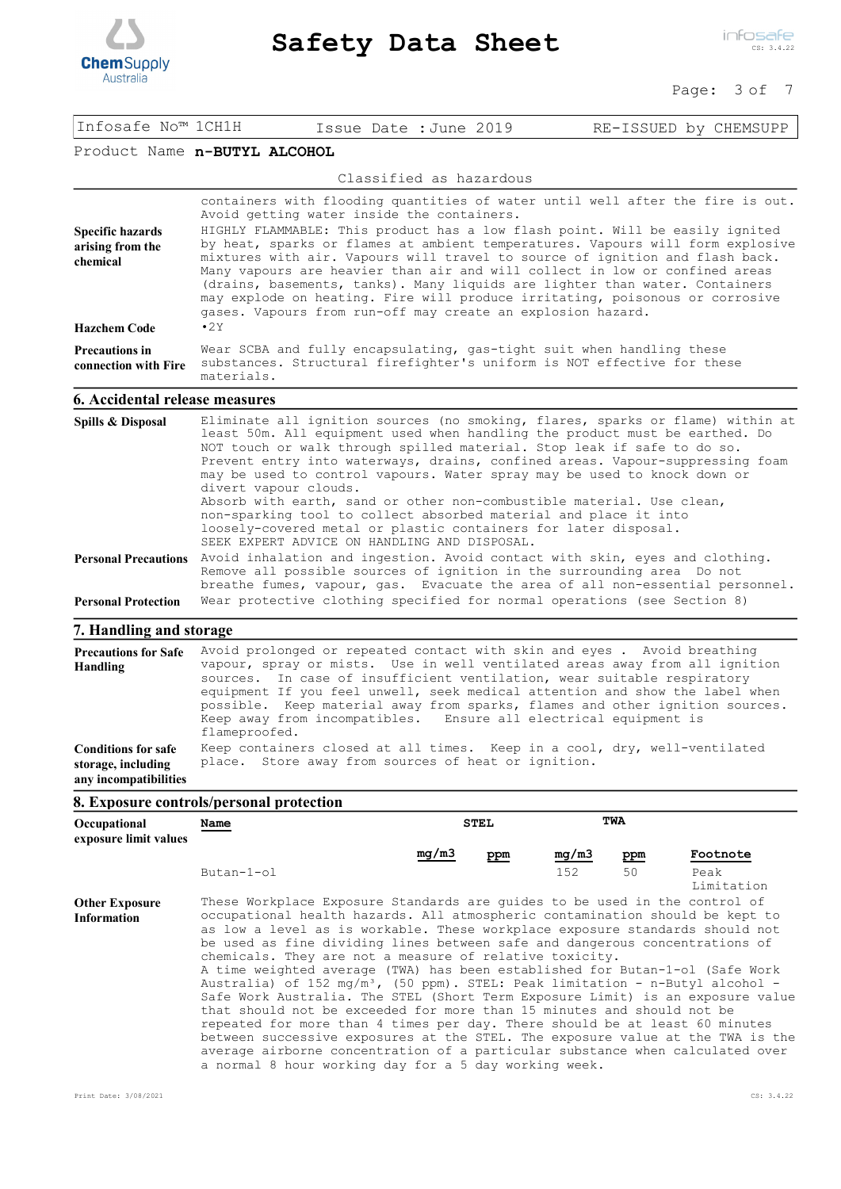

#### Page: 3 of 7

| Infosafe No™ 1CH1H                                                        |                                                                                                                                                                                                                                                                                                                                                                                                                                                                                                                                                                                                                                                                                                |  |                                                     |                                                                                                                                                                                                                                                                                                                                                                                                                                                                       |
|---------------------------------------------------------------------------|------------------------------------------------------------------------------------------------------------------------------------------------------------------------------------------------------------------------------------------------------------------------------------------------------------------------------------------------------------------------------------------------------------------------------------------------------------------------------------------------------------------------------------------------------------------------------------------------------------------------------------------------------------------------------------------------|--|-----------------------------------------------------|-----------------------------------------------------------------------------------------------------------------------------------------------------------------------------------------------------------------------------------------------------------------------------------------------------------------------------------------------------------------------------------------------------------------------------------------------------------------------|
|                                                                           |                                                                                                                                                                                                                                                                                                                                                                                                                                                                                                                                                                                                                                                                                                |  | Issue Date : June 2019                              | RE-ISSUED by CHEMSUPP                                                                                                                                                                                                                                                                                                                                                                                                                                                 |
| Product Name n-BUTYL ALCOHOL                                              |                                                                                                                                                                                                                                                                                                                                                                                                                                                                                                                                                                                                                                                                                                |  |                                                     |                                                                                                                                                                                                                                                                                                                                                                                                                                                                       |
|                                                                           |                                                                                                                                                                                                                                                                                                                                                                                                                                                                                                                                                                                                                                                                                                |  | Classified as hazardous                             |                                                                                                                                                                                                                                                                                                                                                                                                                                                                       |
| <b>Specific hazards</b><br>arising from the<br>chemical                   | containers with flooding quantities of water until well after the fire is out.<br>Avoid getting water inside the containers.<br>HIGHLY FLAMMABLE: This product has a low flash point. Will be easily ignited<br>by heat, sparks or flames at ambient temperatures. Vapours will form explosive<br>mixtures with air. Vapours will travel to source of ignition and flash back.<br>Many vapours are heavier than air and will collect in low or confined areas<br>(drains, basements, tanks). Many liquids are lighter than water. Containers<br>may explode on heating. Fire will produce irritating, poisonous or corrosive<br>gases. Vapours from run-off may create an explosion hazard.    |  |                                                     |                                                                                                                                                                                                                                                                                                                                                                                                                                                                       |
| <b>Hazchem Code</b>                                                       | $\cdot$ 2Y                                                                                                                                                                                                                                                                                                                                                                                                                                                                                                                                                                                                                                                                                     |  |                                                     |                                                                                                                                                                                                                                                                                                                                                                                                                                                                       |
| <b>Precautions in</b><br>connection with Fire                             | Wear SCBA and fully encapsulating, gas-tight suit when handling these<br>substances. Structural firefighter's uniform is NOT effective for these<br>materials.                                                                                                                                                                                                                                                                                                                                                                                                                                                                                                                                 |  |                                                     |                                                                                                                                                                                                                                                                                                                                                                                                                                                                       |
| <b>6. Accidental release measures</b>                                     |                                                                                                                                                                                                                                                                                                                                                                                                                                                                                                                                                                                                                                                                                                |  |                                                     |                                                                                                                                                                                                                                                                                                                                                                                                                                                                       |
| Spills & Disposal                                                         | Eliminate all ignition sources (no smoking, flares, sparks or flame) within at<br>least 50m. All equipment used when handling the product must be earthed. Do<br>NOT touch or walk through spilled material. Stop leak if safe to do so.<br>Prevent entry into waterways, drains, confined areas. Vapour-suppressing foam<br>may be used to control vapours. Water spray may be used to knock down or<br>divert vapour clouds.<br>Absorb with earth, sand or other non-combustible material. Use clean,<br>non-sparking tool to collect absorbed material and place it into<br>loosely-covered metal or plastic containers for later disposal.<br>SEEK EXPERT ADVICE ON HANDLING AND DISPOSAL. |  |                                                     |                                                                                                                                                                                                                                                                                                                                                                                                                                                                       |
| <b>Personal Protection</b>                                                | Personal Precautions Avoid inhalation and ingestion. Avoid contact with skin, eyes and clothing.<br>Remove all possible sources of ignition in the surrounding area Do not<br>breathe fumes, vapour, gas. Evacuate the area of all non-essential personnel.<br>Wear protective clothing specified for normal operations (see Section 8)                                                                                                                                                                                                                                                                                                                                                        |  |                                                     |                                                                                                                                                                                                                                                                                                                                                                                                                                                                       |
|                                                                           |                                                                                                                                                                                                                                                                                                                                                                                                                                                                                                                                                                                                                                                                                                |  |                                                     |                                                                                                                                                                                                                                                                                                                                                                                                                                                                       |
| 7. Handling and storage                                                   |                                                                                                                                                                                                                                                                                                                                                                                                                                                                                                                                                                                                                                                                                                |  |                                                     |                                                                                                                                                                                                                                                                                                                                                                                                                                                                       |
| <b>Precautions for Safe</b><br>Handling                                   | flameproofed.                                                                                                                                                                                                                                                                                                                                                                                                                                                                                                                                                                                                                                                                                  |  |                                                     | Avoid prolonged or repeated contact with skin and eyes. Avoid breathing<br>vapour, spray or mists. Use in well ventilated areas away from all ignition<br>sources. In case of insufficient ventilation, wear suitable respiratory<br>equipment If you feel unwell, seek medical attention and show the label when<br>possible. Keep material away from sparks, flames and other ignition sources.<br>Keep away from incompatibles. Ensure all electrical equipment is |
| <b>Conditions for safe</b><br>storage, including<br>any incompatibilities |                                                                                                                                                                                                                                                                                                                                                                                                                                                                                                                                                                                                                                                                                                |  | place. Store away from sources of heat or ignition. | Keep containers closed at all times. Keep in a cool, dry, well-ventilated                                                                                                                                                                                                                                                                                                                                                                                             |

# **8. Exposure controls/personal protection**

| Occupational<br>exposure limit values       | Name                                                                                                                                                                                                                                                                                                                                                                                                                                                                                                                                                                                                                                                                                                                                                                                                                                                                                                                                                                                                                                     |       | <b>STEL</b> | TWA   |     |                    |
|---------------------------------------------|------------------------------------------------------------------------------------------------------------------------------------------------------------------------------------------------------------------------------------------------------------------------------------------------------------------------------------------------------------------------------------------------------------------------------------------------------------------------------------------------------------------------------------------------------------------------------------------------------------------------------------------------------------------------------------------------------------------------------------------------------------------------------------------------------------------------------------------------------------------------------------------------------------------------------------------------------------------------------------------------------------------------------------------|-------|-------------|-------|-----|--------------------|
|                                             |                                                                                                                                                                                                                                                                                                                                                                                                                                                                                                                                                                                                                                                                                                                                                                                                                                                                                                                                                                                                                                          | mq/m3 | ppm         | mg/m3 | ppm | Footnote           |
|                                             | $Butan-1-o1$                                                                                                                                                                                                                                                                                                                                                                                                                                                                                                                                                                                                                                                                                                                                                                                                                                                                                                                                                                                                                             |       |             | 152   | 50  | Peak<br>Limitation |
| <b>Other Exposure</b><br><b>Information</b> | These Workplace Exposure Standards are quides to be used in the control of<br>occupational health hazards. All atmospheric contamination should be kept to<br>as low a level as is workable. These workplace exposure standards should not<br>be used as fine dividing lines between safe and dangerous concentrations of<br>chemicals. They are not a measure of relative toxicity.<br>A time weighted average (TWA) has been established for Butan-1-ol (Safe Work<br>Australia) of 152 mg/m <sup>3</sup> , (50 ppm). STEL: Peak limitation - n-Butyl alcohol -<br>Safe Work Australia. The STEL (Short Term Exposure Limit) is an exposure value<br>that should not be exceeded for more than 15 minutes and should not be<br>repeated for more than 4 times per day. There should be at least 60 minutes<br>between successive exposures at the STEL. The exposure value at the TWA is the<br>average airborne concentration of a particular substance when calculated over<br>a normal 8 hour working day for a 5 day working week. |       |             |       |     |                    |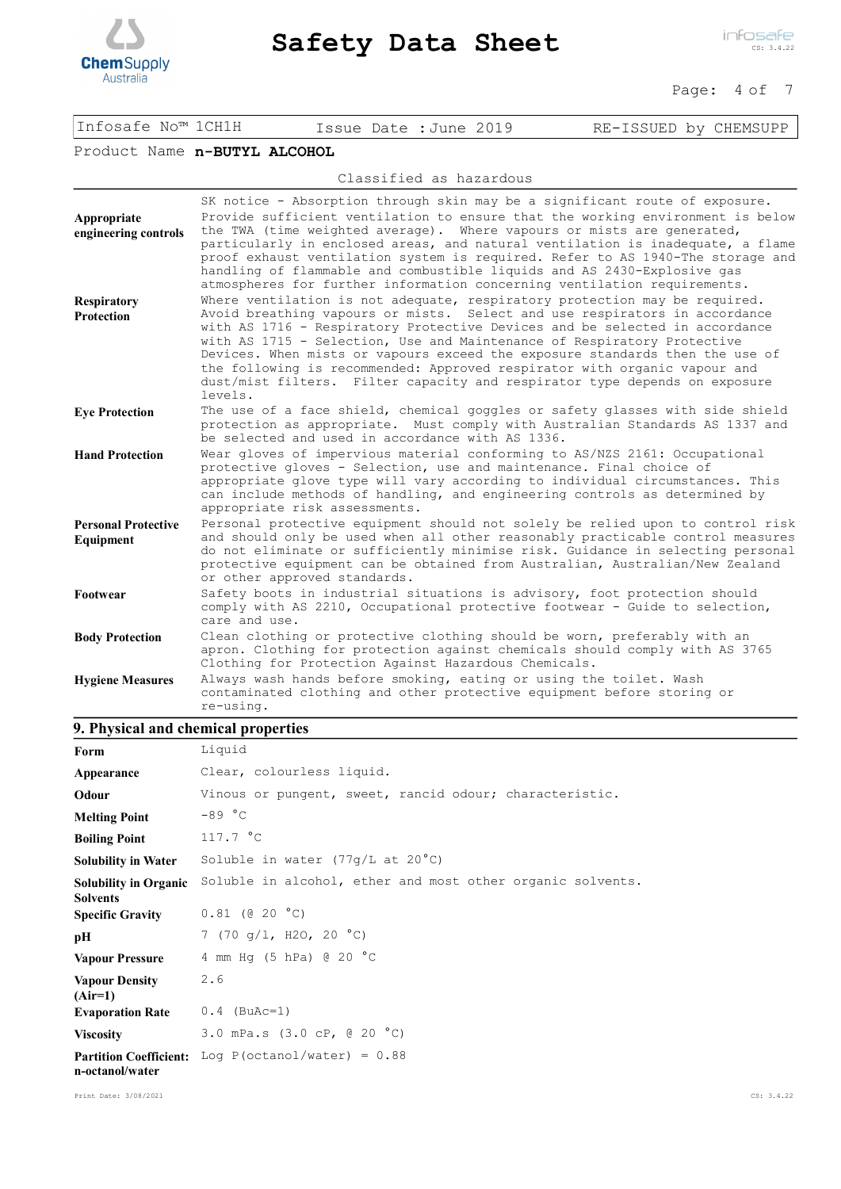

#### Page: 4 of 7

| Infosafe No™ 1CH1H | Issue Date : June 2019 | RE-ISSUED by CHEMSUPP |
|--------------------|------------------------|-----------------------|
|                    |                        |                       |

## Product Name **n-BUTYL ALCOHOL**

Classified as hazardous

| Appropriate<br>engineering controls     | SK notice - Absorption through skin may be a significant route of exposure.<br>Provide sufficient ventilation to ensure that the working environment is below<br>the TWA (time weighted average). Where vapours or mists are generated,<br>particularly in enclosed areas, and natural ventilation is inadequate, a flame<br>proof exhaust ventilation system is required. Refer to AS 1940-The storage and<br>handling of flammable and combustible liquids and AS 2430-Explosive gas<br>atmospheres for further information concerning ventilation requirements.       |
|-----------------------------------------|--------------------------------------------------------------------------------------------------------------------------------------------------------------------------------------------------------------------------------------------------------------------------------------------------------------------------------------------------------------------------------------------------------------------------------------------------------------------------------------------------------------------------------------------------------------------------|
| <b>Respiratory</b><br><b>Protection</b> | Where ventilation is not adequate, respiratory protection may be required.<br>Avoid breathing vapours or mists. Select and use respirators in accordance<br>with AS 1716 - Respiratory Protective Devices and be selected in accordance<br>with AS 1715 - Selection, Use and Maintenance of Respiratory Protective<br>Devices. When mists or vapours exceed the exposure standards then the use of<br>the following is recommended: Approved respirator with organic vapour and<br>dust/mist filters. Filter capacity and respirator type depends on exposure<br>levels. |
| <b>Eye Protection</b>                   | The use of a face shield, chemical goggles or safety glasses with side shield<br>protection as appropriate. Must comply with Australian Standards AS 1337 and<br>be selected and used in accordance with AS 1336.                                                                                                                                                                                                                                                                                                                                                        |
| <b>Hand Protection</b>                  | Wear gloves of impervious material conforming to AS/NZS 2161: Occupational<br>protective gloves - Selection, use and maintenance. Final choice of<br>appropriate glove type will vary according to individual circumstances. This<br>can include methods of handling, and engineering controls as determined by<br>appropriate risk assessments.                                                                                                                                                                                                                         |
| <b>Personal Protective</b><br>Equipment | Personal protective equipment should not solely be relied upon to control risk<br>and should only be used when all other reasonably practicable control measures<br>do not eliminate or sufficiently minimise risk. Guidance in selecting personal<br>protective equipment can be obtained from Australian, Australian/New Zealand<br>or other approved standards.                                                                                                                                                                                                       |
| Footwear                                | Safety boots in industrial situations is advisory, foot protection should<br>comply with AS 2210, Occupational protective footwear - Guide to selection,<br>care and use.                                                                                                                                                                                                                                                                                                                                                                                                |
| <b>Body Protection</b>                  | Clean clothing or protective clothing should be worn, preferably with an<br>apron. Clothing for protection against chemicals should comply with AS 3765<br>Clothing for Protection Against Hazardous Chemicals.                                                                                                                                                                                                                                                                                                                                                          |
| <b>Hygiene Measures</b>                 | Always wash hands before smoking, eating or using the toilet. Wash<br>contaminated clothing and other protective equipment before storing or<br>re-using.                                                                                                                                                                                                                                                                                                                                                                                                                |

# **9. Physical and chemical properties**

| Form                                            | Liquid                                                     |
|-------------------------------------------------|------------------------------------------------------------|
| Appearance                                      | Clear, colourless liquid.                                  |
| Odour                                           | Vinous or pungent, sweet, rancid odour; characteristic.    |
| <b>Melting Point</b>                            | $-89 °C$                                                   |
| <b>Boiling Point</b>                            | 117.7 °C                                                   |
| <b>Solubility in Water</b>                      | Soluble in water (77g/L at 20°C)                           |
| <b>Solubility in Organic</b><br><b>Solvents</b> | Soluble in alcohol, ether and most other organic solvents. |
| <b>Specific Gravity</b>                         | $0.81$ (@ 20 $^{\circ}$ C)                                 |
| pН                                              | 7 (70 g/1, H2O, 20 °C)                                     |
| <b>Vapour Pressure</b>                          | 4 mm Hq $(5 hPa)$ @ 20 °C                                  |
| <b>Vapour Density</b><br>$(Air=1)$              | 2.6                                                        |
| <b>Evaporation Rate</b>                         | $0.4$ (BuAc=1)                                             |
| <b>Viscosity</b>                                | 3.0 mPa.s $(3.0 \text{ CP}, \text{ @ } 20 \text{ °C})$     |
| n-octanol/water                                 | Partition Coefficient: Log P(octanol/water) = $0.88$       |

Print Date: 3/08/2021 CS: 3.4.22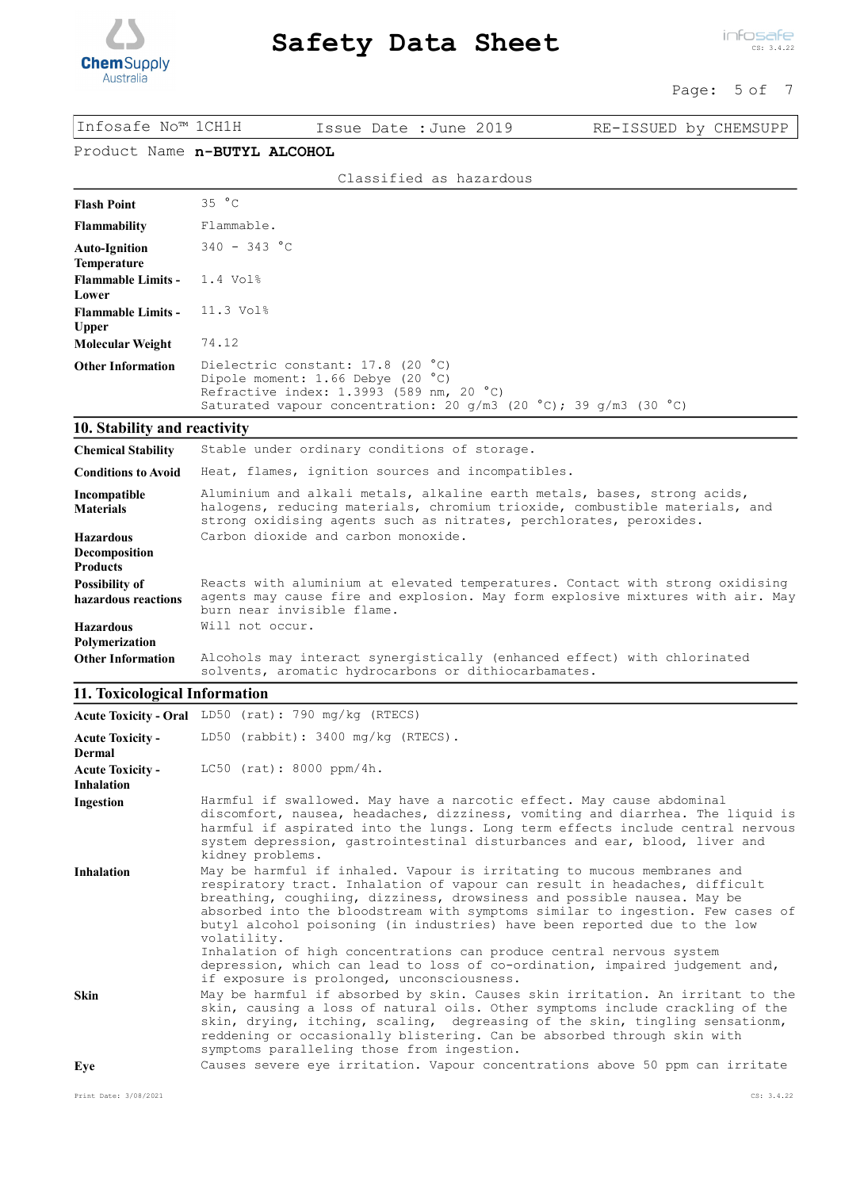

 $\overline{\text{C}}$ 

#### Page: 5 of 7

| Infosafe No™ 1CH1H                                   | Issue Date : June 2019                                                                                                                                                                                                                                                                                                                                                                                                                                                                                                                                                         | RE-ISSUED by CHEMSUPP |  |  |  |  |
|------------------------------------------------------|--------------------------------------------------------------------------------------------------------------------------------------------------------------------------------------------------------------------------------------------------------------------------------------------------------------------------------------------------------------------------------------------------------------------------------------------------------------------------------------------------------------------------------------------------------------------------------|-----------------------|--|--|--|--|
|                                                      | Product Name n-BUTYL ALCOHOL                                                                                                                                                                                                                                                                                                                                                                                                                                                                                                                                                   |                       |  |  |  |  |
|                                                      | Classified as hazardous                                                                                                                                                                                                                                                                                                                                                                                                                                                                                                                                                        |                       |  |  |  |  |
| <b>Flash Point</b>                                   | 35 °C                                                                                                                                                                                                                                                                                                                                                                                                                                                                                                                                                                          |                       |  |  |  |  |
| <b>Flammability</b>                                  | Flammable.                                                                                                                                                                                                                                                                                                                                                                                                                                                                                                                                                                     |                       |  |  |  |  |
| <b>Auto-Ignition</b>                                 | $340 - 343 °C$                                                                                                                                                                                                                                                                                                                                                                                                                                                                                                                                                                 |                       |  |  |  |  |
| Temperature<br><b>Flammable Limits -</b><br>Lower    | 1.4 Vol <sub>8</sub>                                                                                                                                                                                                                                                                                                                                                                                                                                                                                                                                                           |                       |  |  |  |  |
| <b>Flammable Limits -</b><br><b>Upper</b>            | 11.3 Vol <sup>8</sup>                                                                                                                                                                                                                                                                                                                                                                                                                                                                                                                                                          |                       |  |  |  |  |
| <b>Molecular Weight</b>                              | 74.12                                                                                                                                                                                                                                                                                                                                                                                                                                                                                                                                                                          |                       |  |  |  |  |
| <b>Other Information</b>                             | Dielectric constant: 17.8 (20 °C)<br>Dipole moment: 1.66 Debye (20 °C)<br>Refractive index: 1.3993 (589 nm, 20 °C)<br>Saturated vapour concentration: 20 g/m3 (20 °C); 39 g/m3 (30 °C)                                                                                                                                                                                                                                                                                                                                                                                         |                       |  |  |  |  |
| 10. Stability and reactivity                         |                                                                                                                                                                                                                                                                                                                                                                                                                                                                                                                                                                                |                       |  |  |  |  |
| <b>Chemical Stability</b>                            | Stable under ordinary conditions of storage.                                                                                                                                                                                                                                                                                                                                                                                                                                                                                                                                   |                       |  |  |  |  |
| <b>Conditions to Avoid</b>                           | Heat, flames, ignition sources and incompatibles.                                                                                                                                                                                                                                                                                                                                                                                                                                                                                                                              |                       |  |  |  |  |
| Incompatible<br><b>Materials</b>                     | Aluminium and alkali metals, alkaline earth metals, bases, strong acids,<br>halogens, reducing materials, chromium trioxide, combustible materials, and<br>strong oxidising agents such as nitrates, perchlorates, peroxides.                                                                                                                                                                                                                                                                                                                                                  |                       |  |  |  |  |
| <b>Hazardous</b><br>Decomposition<br><b>Products</b> | Carbon dioxide and carbon monoxide.                                                                                                                                                                                                                                                                                                                                                                                                                                                                                                                                            |                       |  |  |  |  |
| <b>Possibility of</b><br>hazardous reactions         | Reacts with aluminium at elevated temperatures. Contact with strong oxidising<br>agents may cause fire and explosion. May form explosive mixtures with air. May<br>burn near invisible flame.                                                                                                                                                                                                                                                                                                                                                                                  |                       |  |  |  |  |
| <b>Hazardous</b>                                     | Will not occur.                                                                                                                                                                                                                                                                                                                                                                                                                                                                                                                                                                |                       |  |  |  |  |
| Polymerization<br><b>Other Information</b>           | Alcohols may interact synergistically (enhanced effect) with chlorinated<br>solvents, aromatic hydrocarbons or dithiocarbamates.                                                                                                                                                                                                                                                                                                                                                                                                                                               |                       |  |  |  |  |
| 11. Toxicological Information                        |                                                                                                                                                                                                                                                                                                                                                                                                                                                                                                                                                                                |                       |  |  |  |  |
|                                                      | Acute Toxicity - Oral LD50 (rat): 790 mg/kg (RTECS)                                                                                                                                                                                                                                                                                                                                                                                                                                                                                                                            |                       |  |  |  |  |
| <b>Acute Toxicity -</b><br>Dermal                    | LD50 (rabbit): 3400 mg/kg (RTECS).                                                                                                                                                                                                                                                                                                                                                                                                                                                                                                                                             |                       |  |  |  |  |
| <b>Acute Toxicity -</b><br>Inhalation                | $LC50$ (rat): 8000 ppm/4h.                                                                                                                                                                                                                                                                                                                                                                                                                                                                                                                                                     |                       |  |  |  |  |
| Ingestion                                            | Harmful if swallowed. May have a narcotic effect. May cause abdominal<br>discomfort, nausea, headaches, dizziness, vomiting and diarrhea. The liquid is<br>harmful if aspirated into the lungs. Long term effects include central nervous<br>system depression, gastrointestinal disturbances and ear, blood, liver and<br>kidney problems.                                                                                                                                                                                                                                    |                       |  |  |  |  |
| Inhalation                                           | May be harmful if inhaled. Vapour is irritating to mucous membranes and<br>respiratory tract. Inhalation of vapour can result in headaches, difficult<br>breathing, coughiing, dizziness, drowsiness and possible nausea. May be<br>absorbed into the bloodstream with symptoms similar to ingestion. Few cases of<br>butyl alcohol poisoning (in industries) have been reported due to the low<br>volatility.                                                                                                                                                                 |                       |  |  |  |  |
| Skin                                                 | Inhalation of high concentrations can produce central nervous system<br>depression, which can lead to loss of co-ordination, impaired judgement and,<br>if exposure is prolonged, unconsciousness.<br>May be harmful if absorbed by skin. Causes skin irritation. An irritant to the<br>skin, causing a loss of natural oils. Other symptoms include crackling of the<br>skin, drying, itching, scaling, degreasing of the skin, tingling sensationm,<br>reddening or occasionally blistering. Can be absorbed through skin with<br>symptoms paralleling those from ingestion. |                       |  |  |  |  |
| Eye                                                  | Causes severe eye irritation. Vapour concentrations above 50 ppm can irritate                                                                                                                                                                                                                                                                                                                                                                                                                                                                                                  |                       |  |  |  |  |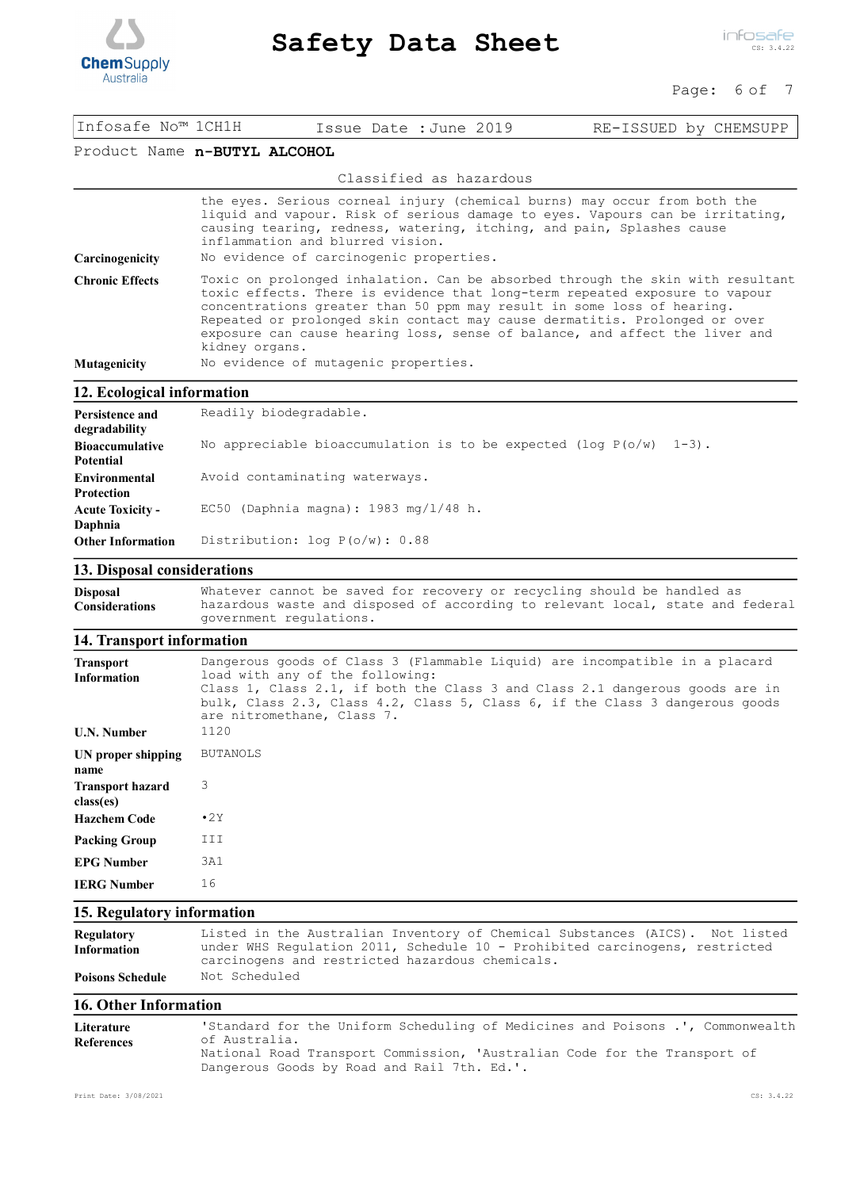

infosafe CS: 3.4.22

#### Page: 6 of 7

| Infosafe No™ 1CH1H           |                | Issue Date : June 2019                                                      |                                                                       | RE-ISSUED by CHEMSUPP                                                                                                                                                                                                                                                                                                                                                                                |
|------------------------------|----------------|-----------------------------------------------------------------------------|-----------------------------------------------------------------------|------------------------------------------------------------------------------------------------------------------------------------------------------------------------------------------------------------------------------------------------------------------------------------------------------------------------------------------------------------------------------------------------------|
| Product Name n-BUTYL ALCOHOL |                |                                                                             |                                                                       |                                                                                                                                                                                                                                                                                                                                                                                                      |
|                              |                |                                                                             | Classified as hazardous                                               |                                                                                                                                                                                                                                                                                                                                                                                                      |
| Carcinogenicity              |                | inflammation and blurred vision.<br>No evidence of carcinogenic properties. | causing tearing, redness, watering, itching, and pain, Splashes cause | the eyes. Serious corneal injury (chemical burns) may occur from both the<br>liquid and vapour. Risk of serious damage to eyes. Vapours can be irritating,                                                                                                                                                                                                                                           |
| <b>Chronic Effects</b>       | kidney organs. |                                                                             |                                                                       | Toxic on prolonged inhalation. Can be absorbed through the skin with resultant<br>toxic effects. There is evidence that long-term repeated exposure to vapour<br>concentrations greater than 50 ppm may result in some loss of hearing.<br>Repeated or prolonged skin contact may cause dermatitis. Prolonged or over<br>exposure can cause hearing loss, sense of balance, and affect the liver and |
| Mutagenicity                 |                | No evidence of mutagenic properties.                                        |                                                                       |                                                                                                                                                                                                                                                                                                                                                                                                      |
| 12. Ecological information   |                |                                                                             |                                                                       |                                                                                                                                                                                                                                                                                                                                                                                                      |
|                              |                |                                                                             |                                                                       |                                                                                                                                                                                                                                                                                                                                                                                                      |

| Persistence and<br>degradability | Readily biodegradable.                                               |  |  |  |  |  |  |
|----------------------------------|----------------------------------------------------------------------|--|--|--|--|--|--|
| <b>Bioaccumulative</b>           | No appreciable bioaccumulation is to be expected (log $P(o/w)$ 1-3). |  |  |  |  |  |  |
| <b>Potential</b>                 |                                                                      |  |  |  |  |  |  |
| <b>Environmental</b>             | Avoid contaminating waterways.                                       |  |  |  |  |  |  |
| <b>Protection</b>                |                                                                      |  |  |  |  |  |  |
| <b>Acute Toxicity -</b>          | EC50 (Daphnia magna): $1983$ mg/ $1/48$ h.                           |  |  |  |  |  |  |
| Daphnia                          |                                                                      |  |  |  |  |  |  |
| <b>Other Information</b>         | Distribution: $log P(o/w)$ : 0.88                                    |  |  |  |  |  |  |

## **13. Disposal considerations**

Whatever cannot be saved for recovery or recycling should be handled as hazardous waste and disposed of according to relevant local, state and federal government regulations. **Disposal Considerations**

## **14. Transport information**

| <b>Transport</b><br><b>Information</b> | Dangerous goods of Class 3 (Flammable Liquid) are incompatible in a placard<br>load with any of the following:<br>Class 1, Class 2.1, if both the Class 3 and Class 2.1 dangerous goods are in<br>bulk, Class 2.3, Class 4.2, Class 5, Class 6, if the Class 3 dangerous goods<br>are nitromethane, Class 7. |
|----------------------------------------|--------------------------------------------------------------------------------------------------------------------------------------------------------------------------------------------------------------------------------------------------------------------------------------------------------------|
| <b>U.N. Number</b>                     | 1120                                                                                                                                                                                                                                                                                                         |
| UN proper shipping<br>name             | <b>BUTANOLS</b>                                                                                                                                                                                                                                                                                              |
| <b>Transport hazard</b><br>class(es)   | 3                                                                                                                                                                                                                                                                                                            |
| <b>Hazchem Code</b>                    | $\cdot$ 2Y                                                                                                                                                                                                                                                                                                   |
| <b>Packing Group</b>                   | III                                                                                                                                                                                                                                                                                                          |
| <b>EPG Number</b>                      | 3A1                                                                                                                                                                                                                                                                                                          |
| <b>IERG Number</b>                     | 16                                                                                                                                                                                                                                                                                                           |

## **15. Regulatory information**

| <b>Regulatory</b>       | Listed in the Australian Inventory of Chemical Substances (AICS). Not listed |
|-------------------------|------------------------------------------------------------------------------|
| <b>Information</b>      | under WHS Requlation 2011, Schedule 10 - Prohibited carcinogens, restricted  |
|                         | carcinogens and restricted hazardous chemicals.                              |
| <b>Poisons Schedule</b> | Not Scheduled                                                                |

#### **16. Other Information**

| Literature        | 'Standard for the Uniform Scheduling of Medicines and Poisons .', Commonwealth                                           |
|-------------------|--------------------------------------------------------------------------------------------------------------------------|
| <b>References</b> | of Australia.                                                                                                            |
|                   | National Road Transport Commission, 'Australian Code for the Transport of<br>Dangerous Goods by Road and Rail 7th. Ed.'. |